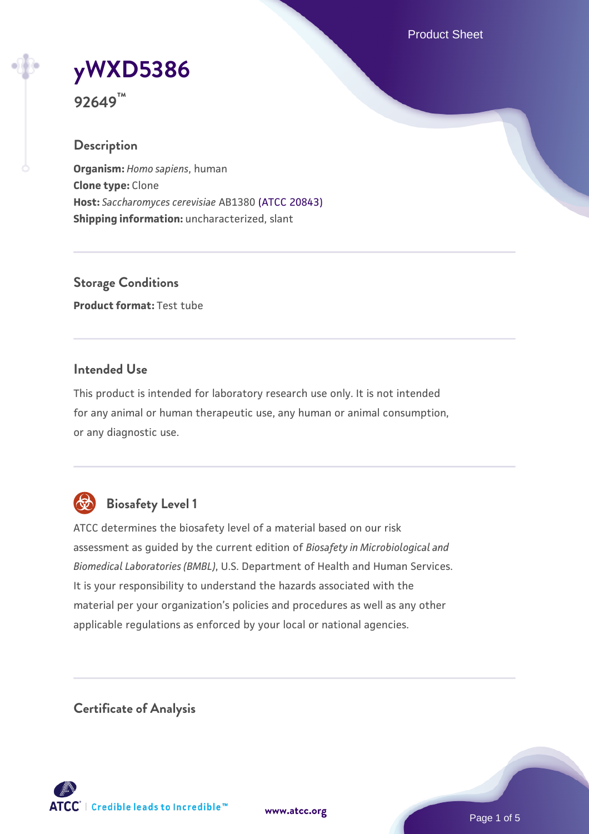Product Sheet

# **[yWXD5386](https://www.atcc.org/products/92649)**

**92649™**

# **Description**

**Organism:** *Homo sapiens*, human **Clone type:** Clone **Host:** *Saccharomyces cerevisiae* AB1380 [\(ATCC 20843\)](https://www.atcc.org/products/20843) **Shipping information:** uncharacterized, slant

**Storage Conditions Product format:** Test tube

# **Intended Use**

This product is intended for laboratory research use only. It is not intended for any animal or human therapeutic use, any human or animal consumption, or any diagnostic use.



# **Biosafety Level 1**

ATCC determines the biosafety level of a material based on our risk assessment as guided by the current edition of *Biosafety in Microbiological and Biomedical Laboratories (BMBL)*, U.S. Department of Health and Human Services. It is your responsibility to understand the hazards associated with the material per your organization's policies and procedures as well as any other applicable regulations as enforced by your local or national agencies.

**Certificate of Analysis**

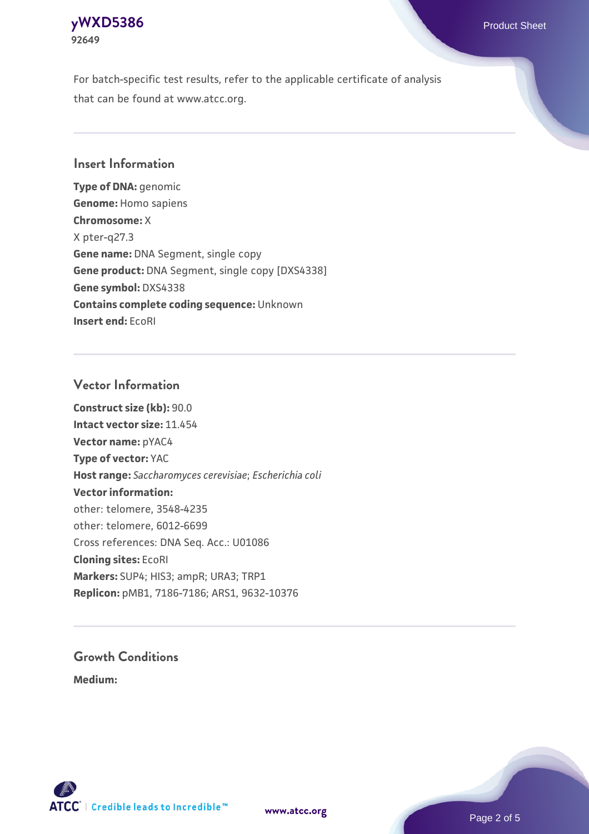# **[yWXD5386](https://www.atcc.org/products/92649)** Product Sheet **92649**

For batch-specific test results, refer to the applicable certificate of analysis that can be found at www.atcc.org.

# **Insert Information**

**Type of DNA:** genomic **Genome:** Homo sapiens **Chromosome:** X X pter-q27.3 **Gene name:** DNA Segment, single copy **Gene product:** DNA Segment, single copy [DXS4338] **Gene symbol:** DXS4338 **Contains complete coding sequence:** Unknown **Insert end:** EcoRI

# **Vector Information**

**Construct size (kb):** 90.0 **Intact vector size:** 11.454 **Vector name:** pYAC4 **Type of vector:** YAC **Host range:** *Saccharomyces cerevisiae*; *Escherichia coli* **Vector information:** other: telomere, 3548-4235 other: telomere, 6012-6699 Cross references: DNA Seq. Acc.: U01086 **Cloning sites:** EcoRI **Markers:** SUP4; HIS3; ampR; URA3; TRP1 **Replicon:** pMB1, 7186-7186; ARS1, 9632-10376

# **Growth Conditions**

**Medium:** 



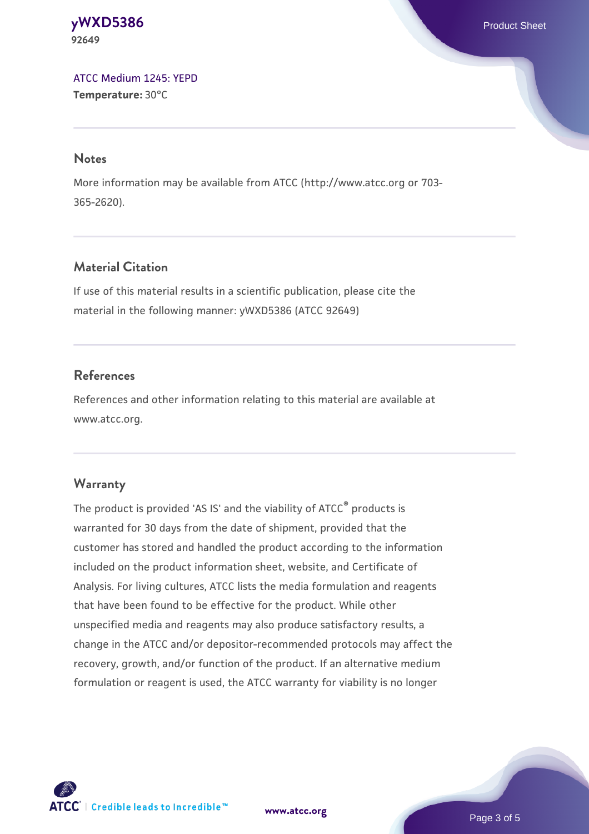**[yWXD5386](https://www.atcc.org/products/92649)** Product Sheet **92649**

[ATCC Medium 1245: YEPD](https://www.atcc.org/-/media/product-assets/documents/microbial-media-formulations/1/2/4/5/atcc-medium-1245.pdf?rev=705ca55d1b6f490a808a965d5c072196) **Temperature:** 30°C

#### **Notes**

More information may be available from ATCC (http://www.atcc.org or 703- 365-2620).

# **Material Citation**

If use of this material results in a scientific publication, please cite the material in the following manner: yWXD5386 (ATCC 92649)

# **References**

References and other information relating to this material are available at www.atcc.org.

#### **Warranty**

The product is provided 'AS IS' and the viability of ATCC® products is warranted for 30 days from the date of shipment, provided that the customer has stored and handled the product according to the information included on the product information sheet, website, and Certificate of Analysis. For living cultures, ATCC lists the media formulation and reagents that have been found to be effective for the product. While other unspecified media and reagents may also produce satisfactory results, a change in the ATCC and/or depositor-recommended protocols may affect the recovery, growth, and/or function of the product. If an alternative medium formulation or reagent is used, the ATCC warranty for viability is no longer



**[www.atcc.org](http://www.atcc.org)**

Page 3 of 5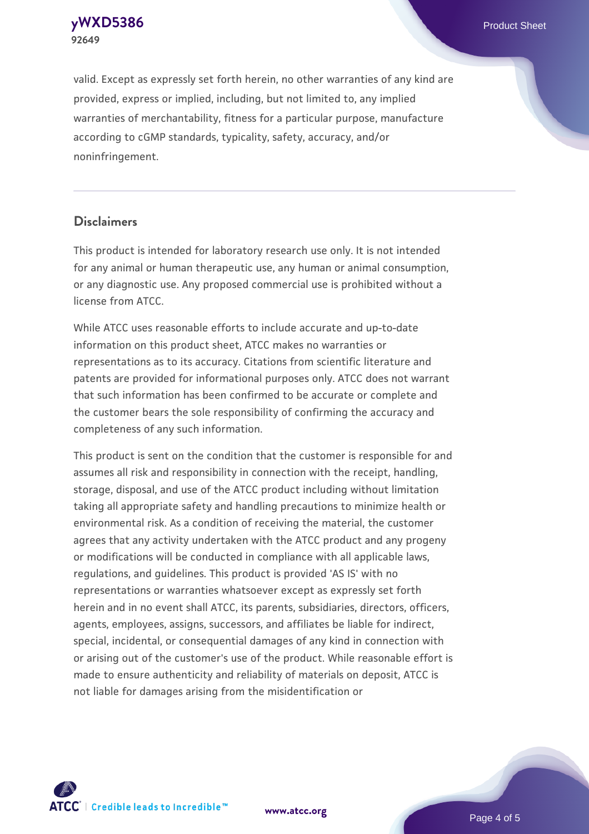**[yWXD5386](https://www.atcc.org/products/92649)** Product Sheet **92649**

valid. Except as expressly set forth herein, no other warranties of any kind are provided, express or implied, including, but not limited to, any implied warranties of merchantability, fitness for a particular purpose, manufacture according to cGMP standards, typicality, safety, accuracy, and/or noninfringement.

#### **Disclaimers**

This product is intended for laboratory research use only. It is not intended for any animal or human therapeutic use, any human or animal consumption, or any diagnostic use. Any proposed commercial use is prohibited without a license from ATCC.

While ATCC uses reasonable efforts to include accurate and up-to-date information on this product sheet, ATCC makes no warranties or representations as to its accuracy. Citations from scientific literature and patents are provided for informational purposes only. ATCC does not warrant that such information has been confirmed to be accurate or complete and the customer bears the sole responsibility of confirming the accuracy and completeness of any such information.

This product is sent on the condition that the customer is responsible for and assumes all risk and responsibility in connection with the receipt, handling, storage, disposal, and use of the ATCC product including without limitation taking all appropriate safety and handling precautions to minimize health or environmental risk. As a condition of receiving the material, the customer agrees that any activity undertaken with the ATCC product and any progeny or modifications will be conducted in compliance with all applicable laws, regulations, and guidelines. This product is provided 'AS IS' with no representations or warranties whatsoever except as expressly set forth herein and in no event shall ATCC, its parents, subsidiaries, directors, officers, agents, employees, assigns, successors, and affiliates be liable for indirect, special, incidental, or consequential damages of any kind in connection with or arising out of the customer's use of the product. While reasonable effort is made to ensure authenticity and reliability of materials on deposit, ATCC is not liable for damages arising from the misidentification or



**[www.atcc.org](http://www.atcc.org)**

Page 4 of 5